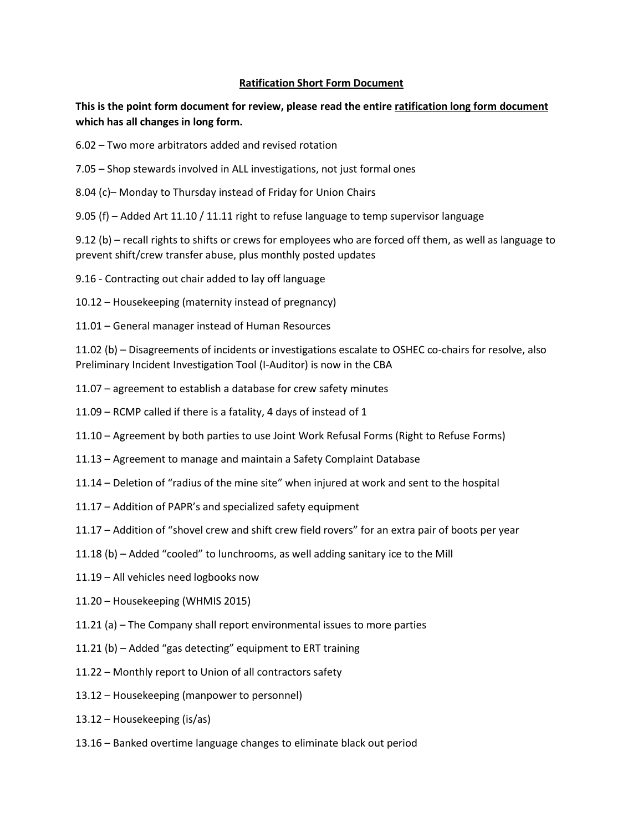## **Ratification Short Form Document**

## **This is the point form document for review, please read the entire ratification long form document which has all changes in long form.**

- 6.02 Two more arbitrators added and revised rotation
- 7.05 Shop stewards involved in ALL investigations, not just formal ones
- 8.04 (c)– Monday to Thursday instead of Friday for Union Chairs
- 9.05 (f) Added Art 11.10 / 11.11 right to refuse language to temp supervisor language

9.12 (b) – recall rights to shifts or crews for employees who are forced off them, as well as language to prevent shift/crew transfer abuse, plus monthly posted updates

- 9.16 Contracting out chair added to lay off language
- 10.12 Housekeeping (maternity instead of pregnancy)
- 11.01 General manager instead of Human Resources

11.02 (b) – Disagreements of incidents or investigations escalate to OSHEC co-chairs for resolve, also Preliminary Incident Investigation Tool (I-Auditor) is now in the CBA

- 11.07 agreement to establish a database for crew safety minutes
- 11.09 RCMP called if there is a fatality, 4 days of instead of 1
- 11.10 Agreement by both parties to use Joint Work Refusal Forms (Right to Refuse Forms)
- 11.13 Agreement to manage and maintain a Safety Complaint Database
- 11.14 Deletion of "radius of the mine site" when injured at work and sent to the hospital
- 11.17 Addition of PAPR's and specialized safety equipment
- 11.17 Addition of "shovel crew and shift crew field rovers" for an extra pair of boots per year
- 11.18 (b) Added "cooled" to lunchrooms, as well adding sanitary ice to the Mill
- 11.19 All vehicles need logbooks now
- 11.20 Housekeeping (WHMIS 2015)
- 11.21 (a) The Company shall report environmental issues to more parties
- 11.21 (b) Added "gas detecting" equipment to ERT training
- 11.22 Monthly report to Union of all contractors safety
- 13.12 Housekeeping (manpower to personnel)
- 13.12 Housekeeping (is/as)
- 13.16 Banked overtime language changes to eliminate black out period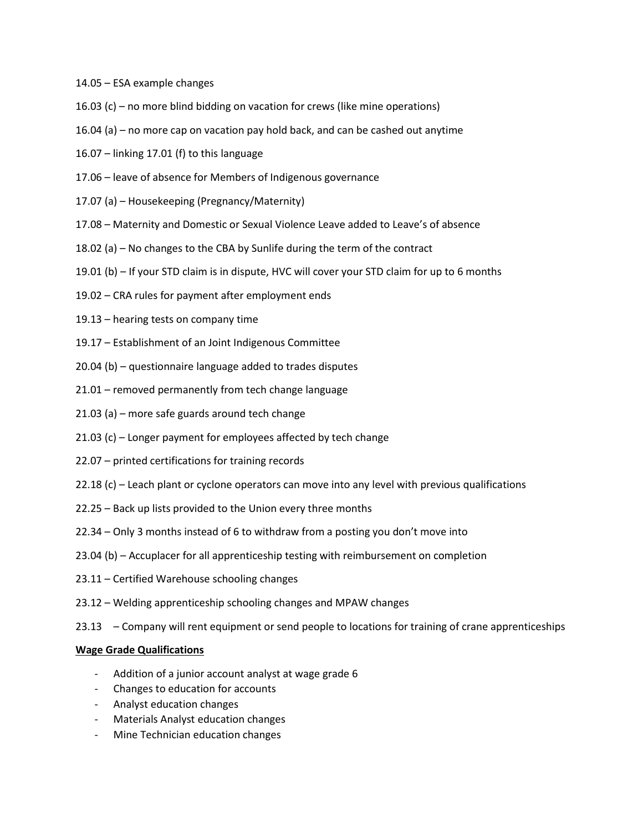- 14.05 ESA example changes
- 16.03 (c) no more blind bidding on vacation for crews (like mine operations)
- 16.04 (a) no more cap on vacation pay hold back, and can be cashed out anytime
- 16.07 linking 17.01 (f) to this language
- 17.06 leave of absence for Members of Indigenous governance
- 17.07 (a) Housekeeping (Pregnancy/Maternity)
- 17.08 Maternity and Domestic or Sexual Violence Leave added to Leave's of absence
- 18.02 (a) No changes to the CBA by Sunlife during the term of the contract
- 19.01 (b) If your STD claim is in dispute, HVC will cover your STD claim for up to 6 months
- 19.02 CRA rules for payment after employment ends
- 19.13 hearing tests on company time
- 19.17 Establishment of an Joint Indigenous Committee
- 20.04 (b) questionnaire language added to trades disputes
- 21.01 removed permanently from tech change language
- 21.03 (a) more safe guards around tech change
- 21.03 (c) Longer payment for employees affected by tech change
- 22.07 printed certifications for training records
- 22.18 (c) Leach plant or cyclone operators can move into any level with previous qualifications
- 22.25 Back up lists provided to the Union every three months
- 22.34 Only 3 months instead of 6 to withdraw from a posting you don't move into
- 23.04 (b) Accuplacer for all apprenticeship testing with reimbursement on completion
- 23.11 Certified Warehouse schooling changes
- 23.12 Welding apprenticeship schooling changes and MPAW changes
- 23.13 Company will rent equipment or send people to locations for training of crane apprenticeships

## **Wage Grade Qualifications**

- Addition of a junior account analyst at wage grade 6
- Changes to education for accounts
- Analyst education changes
- Materials Analyst education changes
- Mine Technician education changes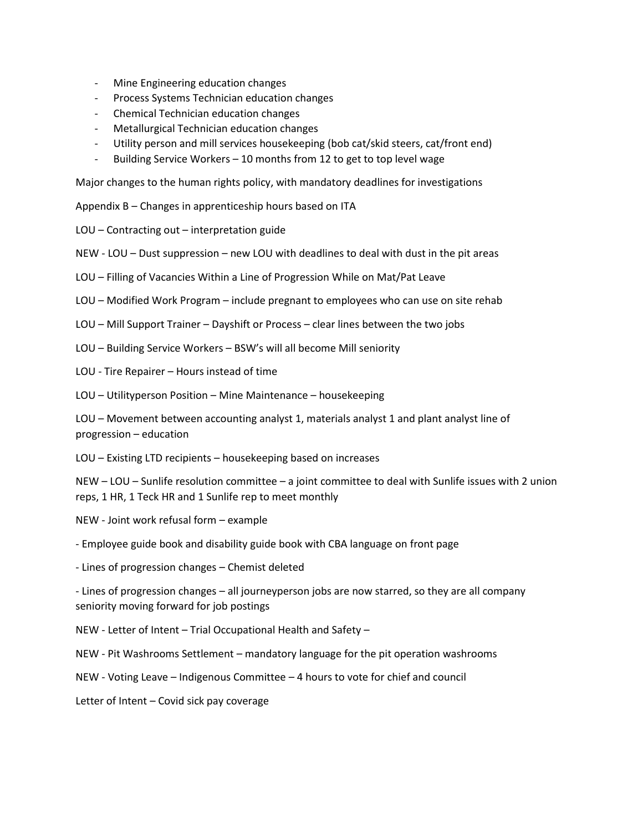- Mine Engineering education changes
- Process Systems Technician education changes
- Chemical Technician education changes
- Metallurgical Technician education changes
- Utility person and mill services housekeeping (bob cat/skid steers, cat/front end)
- Building Service Workers 10 months from 12 to get to top level wage

Major changes to the human rights policy, with mandatory deadlines for investigations

Appendix B – Changes in apprenticeship hours based on ITA

LOU – Contracting out – interpretation guide

NEW - LOU – Dust suppression – new LOU with deadlines to deal with dust in the pit areas

LOU – Filling of Vacancies Within a Line of Progression While on Mat/Pat Leave

LOU – Modified Work Program – include pregnant to employees who can use on site rehab

LOU – Mill Support Trainer – Dayshift or Process – clear lines between the two jobs

LOU – Building Service Workers – BSW's will all become Mill seniority

LOU - Tire Repairer – Hours instead of time

LOU – Utilityperson Position – Mine Maintenance – housekeeping

LOU – Movement between accounting analyst 1, materials analyst 1 and plant analyst line of progression – education

LOU – Existing LTD recipients – housekeeping based on increases

NEW – LOU – Sunlife resolution committee – a joint committee to deal with Sunlife issues with 2 union reps, 1 HR, 1 Teck HR and 1 Sunlife rep to meet monthly

NEW - Joint work refusal form – example

- Employee guide book and disability guide book with CBA language on front page

- Lines of progression changes – Chemist deleted

- Lines of progression changes – all journeyperson jobs are now starred, so they are all company seniority moving forward for job postings

NEW - Letter of Intent – Trial Occupational Health and Safety –

NEW - Pit Washrooms Settlement – mandatory language for the pit operation washrooms

NEW - Voting Leave – Indigenous Committee – 4 hours to vote for chief and council

Letter of Intent – Covid sick pay coverage